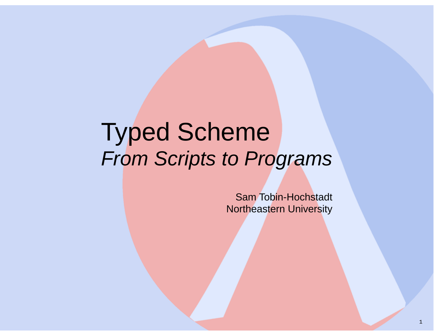# Typed SchemeFrom Scripts to Programs

Sam Tobin-Hochstadt**Northeastern University**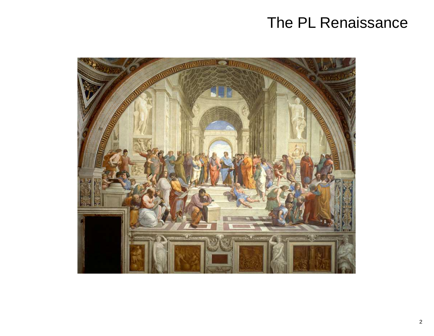## The PL Renaissance

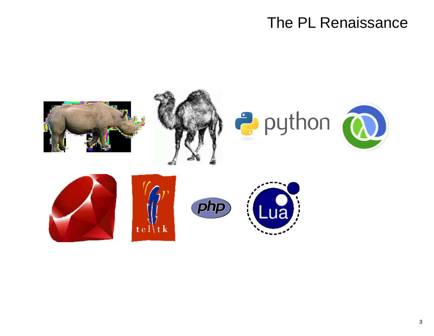## The PL Renaissance

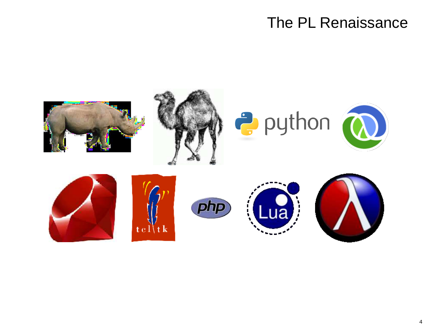## The PL Renaissance

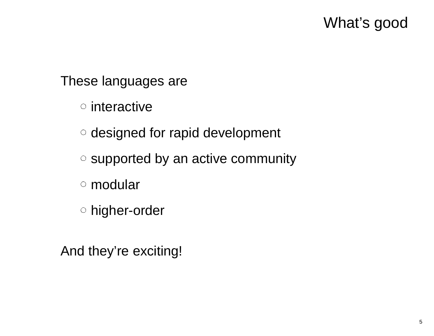## What's good

These languages are

interactive

designed for rapid development

- o supported by an active community
- modular
- higher-order

And they're exciting!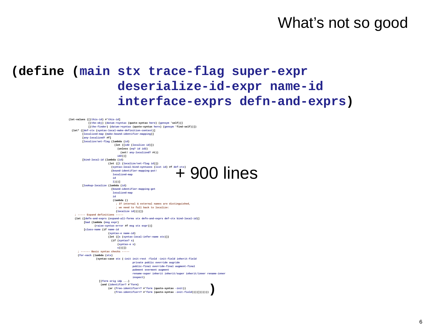#### **(define (main stx trace-flag super-expr deserialize-id-expr name-idinterface-exprs defn-and-exprs)**

 $+$  900 lines **(let-values ([(this-id) #'this-id] [(the-obj) (datum->syntax (quote-syntax here) (gensym 'self))] [(the-finder) (datum->syntax (quote-syntax here) (gensym 'find-self))]) (let\* ([def-ctx (syntax-local-make-definition-context)] [localized-map (make-bound-identifier-mapping)][any-localized? #f] [localize/set-flag (lambda (id) (let ([id2 (localize id)]) (unless (eq? id id2) (set! any-localized? #t))id2))][bind-local-id (lambda (id) (let ([l (localize/set-flag id)]) (syntax-local-bind-syntaxes (list id) #f def-ctx) (bound-identifier-mapping-put!localized-mapid l)))] [lookup-localize (lambda (id) (bound-identifier-mapping-getlocalized-mapid (lambda () ; If internal & external names are distinguished,; we need to fall back to localize: (localize id))))]) ; ----- Expand definitions ----- (let ([defn-and-exprs (expand-all-forms stx defn-and-exprs def-ctx bind-local-id)] [bad (lambda (msg expr) (raise-syntax-error #f msg stx expr))] [class-name (if name-id (syntax-e name-id) (let ([s (syntax-local-infer-name stx)]) (if (syntax? s) (syntax-e s) s)))]) ; ------ Basic syntax checks ----- (for-each (lambda (stx) (syntax-case stx (-init init-rest -field -init-field inherit-field private public override augride public-final override-final augment-final pubment overment augment rename-super inherit inherit/super inherit/inner rename-inner inspect) [(form orig idp ...) (and (identifier? #'form) (or (free-identifier=? #'form (quote-syntax -init))(free-identifier=? #'form (quote-syntax -init-field))))])))))))**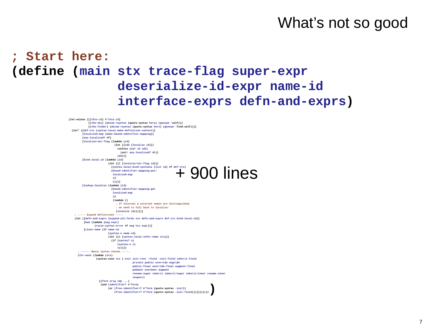#### **; Start here: (define (main stx trace-flag super-expr deserialize-id-expr name-idinterface-exprs defn-and-exprs)**

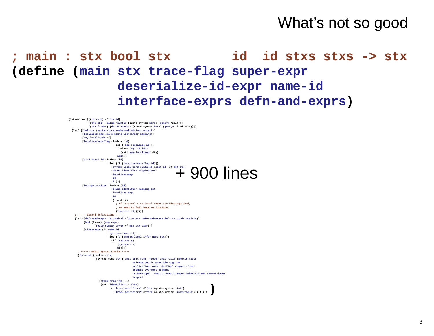#### ; main : stx bool stx **: stx bool stx id id stxs stxs -> stx (define (main stx trace-flag super-expr deserialize-id-expr name-idinterface-exprs defn-and-exprs)**

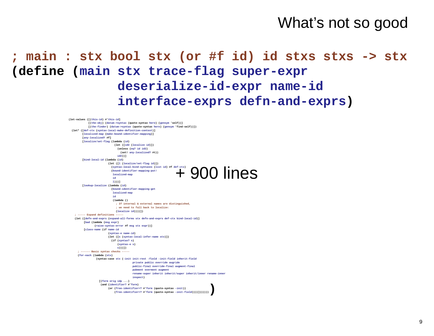#### **; main : stx bool stx (or #f id) id stxs stxs -> stx (define (main stx trace-flag super-expr deserialize-id-expr name-idinterface-exprs defn-and-exprs)**

```
+ 900 lines
(let-values ([(this-id) #'this-id]
[(the-obj) (datum->syntax (quote-syntax here) (gensym 'self))]
[(the-finder) (datum->syntax (quote-syntax here) (gensym 'find-self))]) (let* ([def-ctx (syntax-local-make-definition-context)]
[localized-map (make-bound-identifier-mapping)][any-localized? #f]
[localize/set-flag (lambda (id)
 (let ([id2 (localize id)])
                               (unless (eq? id id2)
                                 (set! any-localized? #t))id2))][bind-local-id (lambda (id)
 (let ([l (localize/set-flag id)])
                           (syntax-local-bind-syntaxes (list id) #f def-ctx)
                            (bound-identifier-mapping-put!localized-mapid
l)))]
[lookup-localize (lambda (id)
 (bound-identifier-mapping-getlocalized-mapid
(lambda ()
; If internal & external names are distinguished,; we need to fall back to localize: (localize id))))])
    ; ----- Expand definitions -----
 (let ([defn-and-exprs (expand-all-forms stx defn-and-exprs def-ctx bind-local-id)]
          [bad (lambda (msg expr)
                (raise-syntax-error #f msg stx expr))]
         [class-name (if name-id
(syntax-e name-id)
                          (let ([s (syntax-local-infer-name stx)])
                           (if (syntax? s)
                                (syntax-e s)
                              s)))])
; ------ Basic syntax checks ----- (for-each (lambda (stx)
 (syntax-case stx (-init init-rest -field -init-field inherit-field
                                         private public override augride
                                         public-final override-final augment-final
                                         pubment overment augment
                                         rename-super inherit inherit/super inherit/inner rename-inner
                                        inspect) [(form orig idp ...)
                    (and (identifier? #'form)
(or (free-identifier=? #'form (quote-syntax -init))
(free-identifier=? #'form (quote-syntax -init-field))))])))))))
```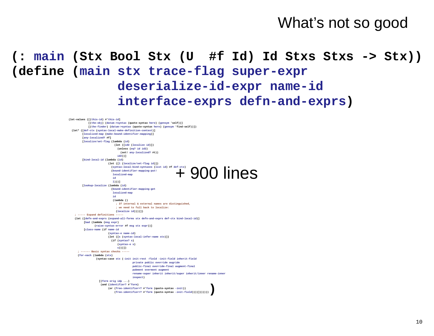**(: main (Stx Bool Stx (U #f Id) Id Stxs Stxs -> Stx))(define (main stx trace-flag super-expr deserialize-id-expr name-idinterface-exprs defn-and-exprs)**

```
+ 900 lines
(let-values ([(this-id) #'this-id]
[(the-obj) (datum->syntax (quote-syntax here) (gensym 'self))]
[(the-finder) (datum->syntax (quote-syntax here) (gensym 'find-self))]) (let* ([def-ctx (syntax-local-make-definition-context)]
[localized-map (make-bound-identifier-mapping)][any-localized? #f]
[localize/set-flag (lambda (id)
 (let ([id2 (localize id)])
                               (unless (eq? id id2)
                                 (set! any-localized? #t))id2))][bind-local-id (lambda (id)
 (let ([l (localize/set-flag id)])
                           (syntax-local-bind-syntaxes (list id) #f def-ctx)
                            (bound-identifier-mapping-put!localized-mapid
l)))]
[lookup-localize (lambda (id)
 (bound-identifier-mapping-getlocalized-mapid
(lambda ()
; If internal & external names are distinguished,; we need to fall back to localize: (localize id))))])
    ; ----- Expand definitions -----
 (let ([defn-and-exprs (expand-all-forms stx defn-and-exprs def-ctx bind-local-id)]
          [bad (lambda (msg expr)
                (raise-syntax-error #f msg stx expr))]
         [class-name (if name-id
(syntax-e name-id)
                          (let ([s (syntax-local-infer-name stx)])
                           (if (syntax? s)
                                (syntax-e s)
                              s)))])
; ------ Basic syntax checks ----- (for-each (lambda (stx)
 (syntax-case stx (-init init-rest -field -init-field inherit-field
                                         private public override augride
                                         public-final override-final augment-final
                                         pubment overment augment
                                         rename-super inherit inherit/super inherit/inner rename-inner
                                        inspect) [(form orig idp ...)
                    (and (identifier? #'form)
(or (free-identifier=? #'form (quote-syntax -init))
(free-identifier=? #'form (quote-syntax -init-field))))])))))))
```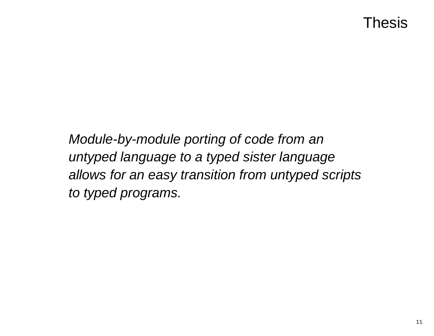## Thesis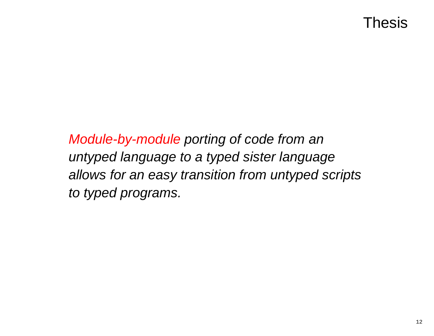## Thesis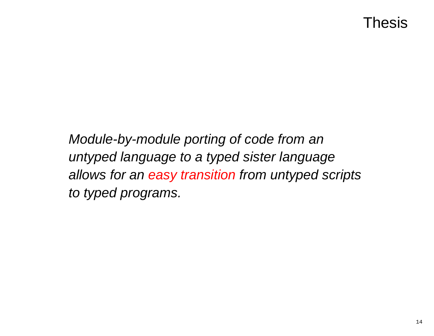## Thesis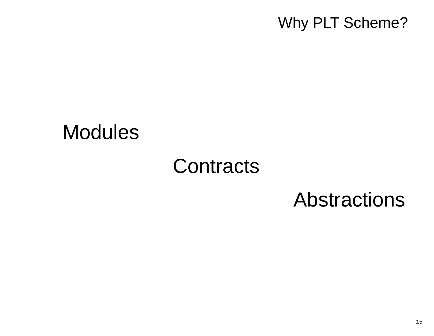## Why PLT Scheme?

## Modules

## **Contracts**

## Abstractions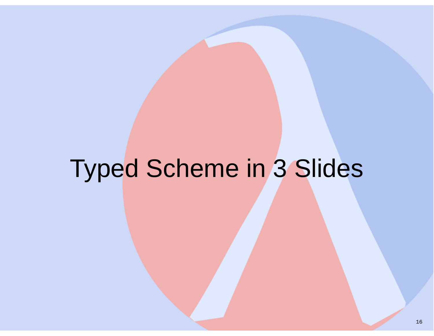# Typed Scheme in 3 Slides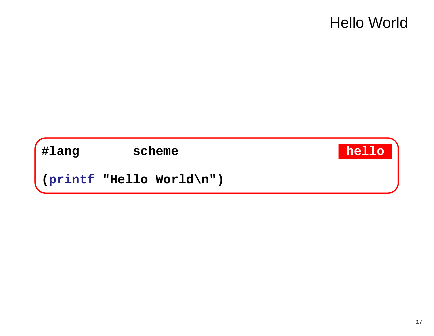## **Hello World**

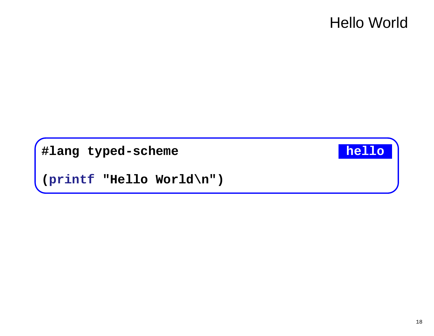## **Hello World**

#lang typed-scheme

#### hello

(printf "Hello World\n")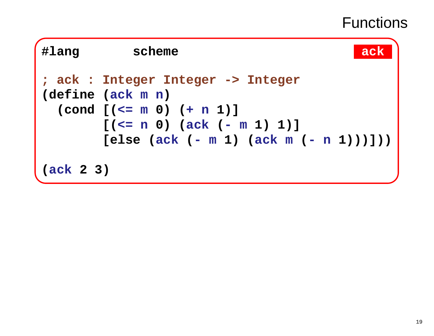## **Functions**

| #lang     | scheme                                                                                                                                                                                                       |  |
|-----------|--------------------------------------------------------------------------------------------------------------------------------------------------------------------------------------------------------------|--|
|           | ; ack : Integer Integer -> Integer<br>$(\text{define } (\text{ack } m n)$<br>$\text{(cond } [\text{(&= m 0) (+ n 1)]}$<br>$[(\le n 0)$ $(\text{ack } (-m 1) 1)]$<br>$[else (ack (- m 1) (ack m (- n 1)))] )$ |  |
| (ack 2 3) |                                                                                                                                                                                                              |  |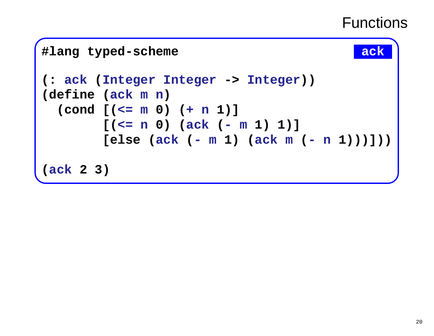## **Functions**

```
#lang typed-scheme ack ack
(: ack (Integer Integer -> Integer))
(define (ackmn)

 (cond [(<=m 0) (+n 1)]

[(<=n 0) (ack (-m 1) 1)]

[else (ack (-m 1) (ackm (-n 1)))]))(ack 2 3)
```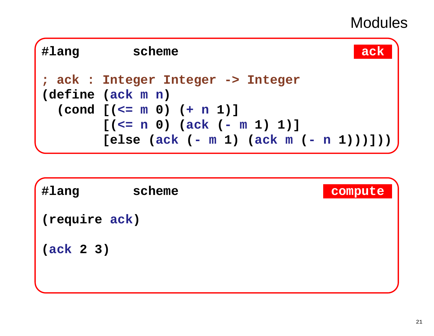| #lang | ack<br>scheme                                                                                                                                               |
|-------|-------------------------------------------------------------------------------------------------------------------------------------------------------------|
|       | ; ack : Integer Integer -> Integer<br>$(\text{define } (\text{ack } m n)$<br>$\text{(cond } [( \leq m 0) (+ n 1) ]$<br>$[(\le n 0) (\text{ack } (-m 1) 1)]$ |
|       | [else (ack (- m 1) (ack m (- n 1)))]))                                                                                                                      |

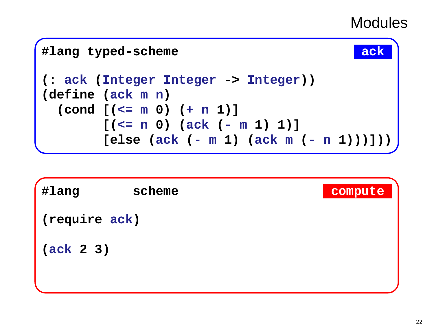

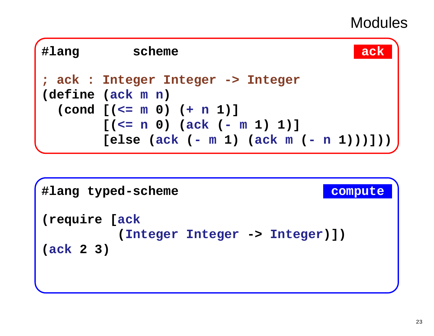| #lang | scheme<br>ack                                                                  |
|-------|--------------------------------------------------------------------------------|
|       | ; ack : Integer Integer -> Integer<br>$(\text{define } (\text{ack } m n)$      |
|       | $\text{(cond } [( \leq m 0) (+ n 1) ]$                                         |
|       | $[(\le n 0) (\text{ack } (-m 1) 1)]$<br>[else (ack (- m 1) (ack m (- n 1)))])) |

```
#lang typed-scheme compute (require [ack
(Integer Integer -> Integer)])
(ack 2 3)
```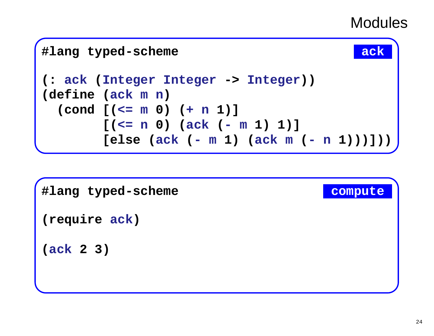

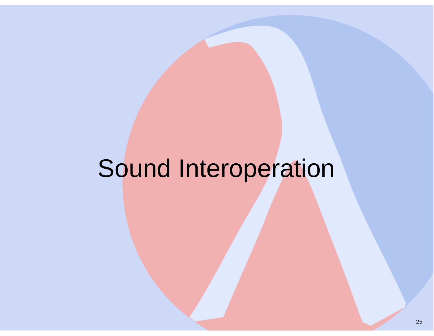# Sound Interoperation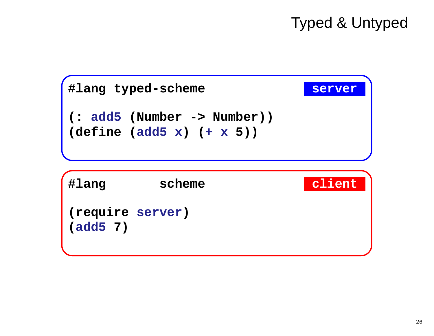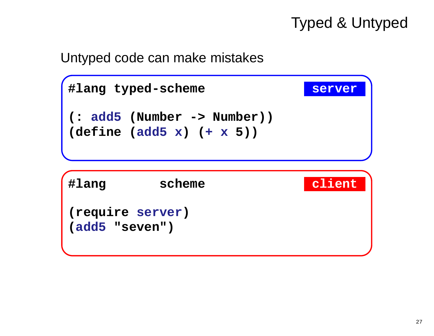#### Untyped code can make mistakes

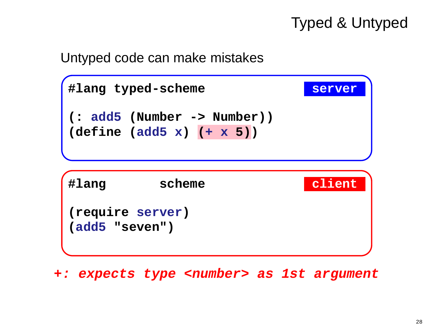#### Untyped code can make mistakes



**+: expects type <number> as 1st argument**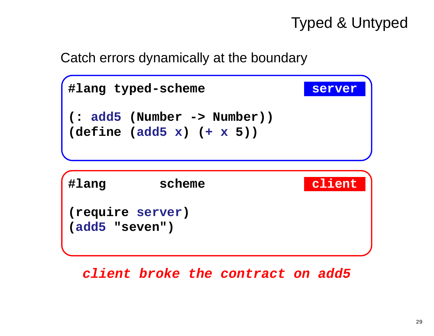Catch errors dynamically at the boundary



**client broke the contract on add5**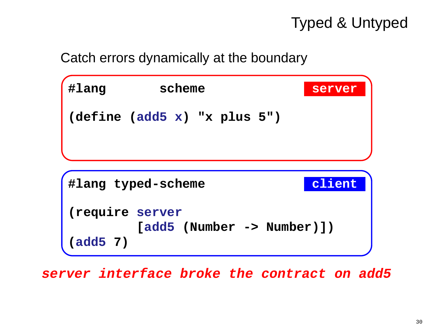#### Catch errors dynamically at the boundary



**server interface broke the contract on add5**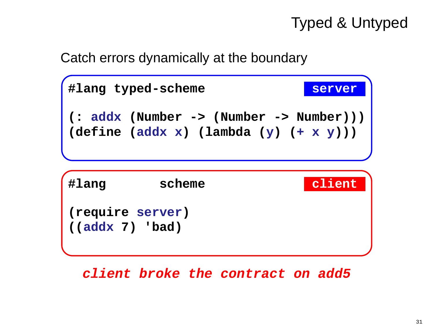Catch errors dynamically at the boundary



**client broke the contract on add5**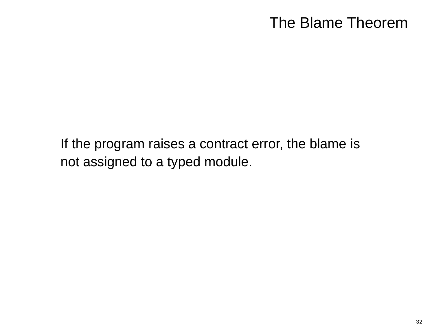## The Blame Theorem

If the program raises a contract error, the blame isnot assigned to a typed module.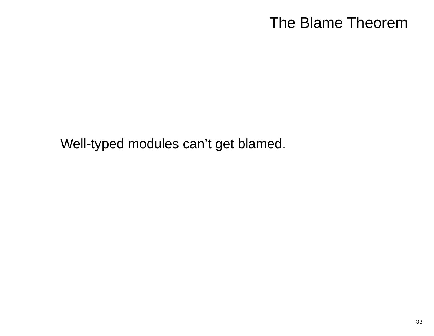## The Blame Theorem

Well-typed modules can't get blamed.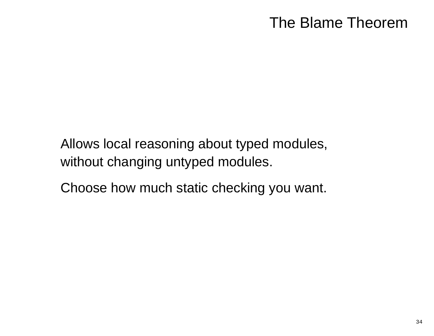## The Blame Theorem

Allows local reasoning about typed modules,without changing untyped modules.

Choose how much static checking you want.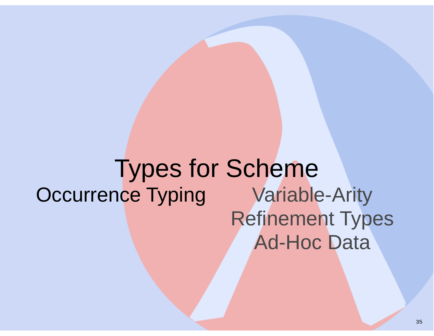Types for Schemeg **Variable-Arity Occurrence Typing** Refinement TypesAd-Hoc Data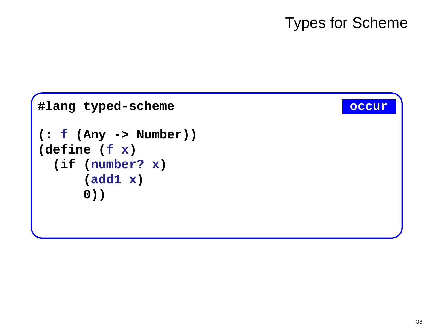## **Types for Scheme**

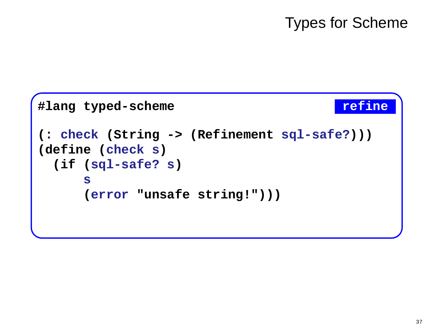# Types for Scheme

```
#lang typed-scheme refine
(: check (String -> (Refinement sql-safe?)))(define (check s)
 (if (sql-safe? s)
     s
(error "unsafe string!")))
```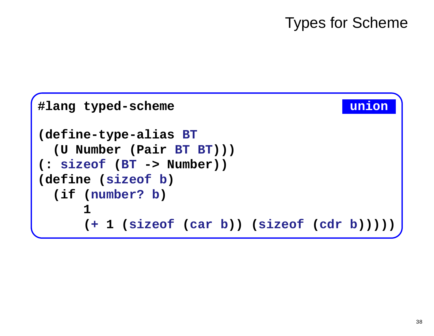# Types for Scheme

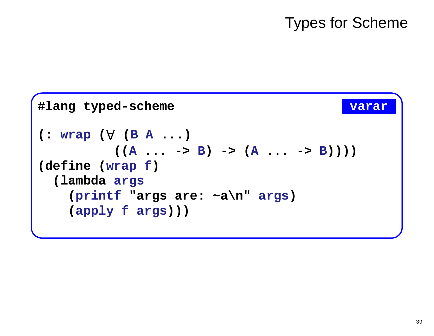# Types for Scheme

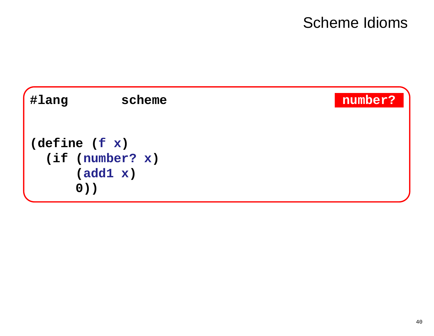# **Scheme Idioms**

| <b>#lang</b> | scheme                                                  | number? |
|--------------|---------------------------------------------------------|---------|
|              | (detine (f x))<br>(if (number? x)<br>(add1 x)<br>$0)$ ) |         |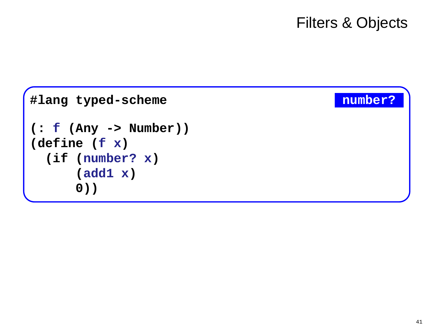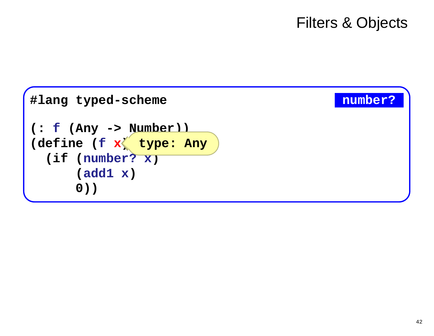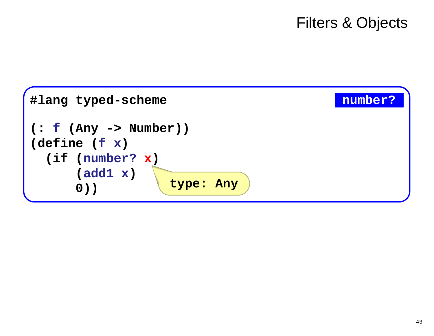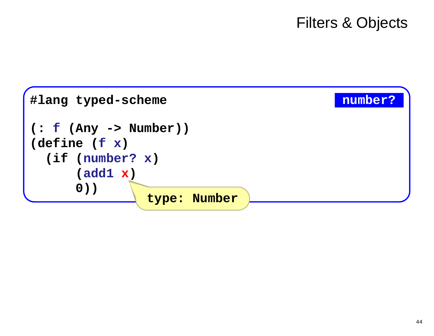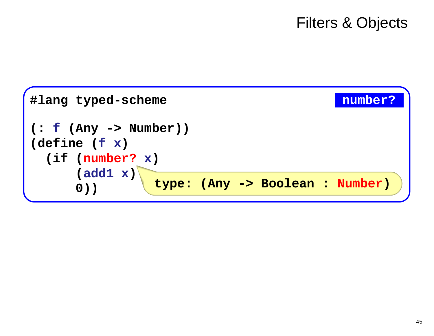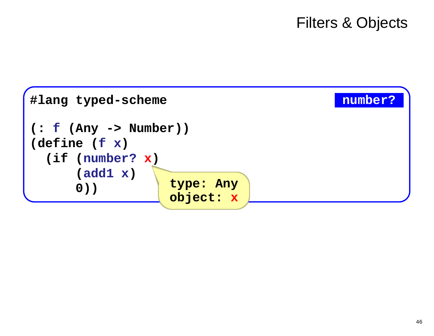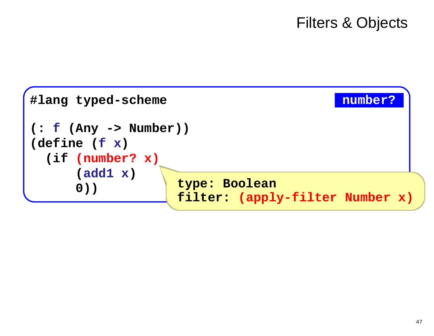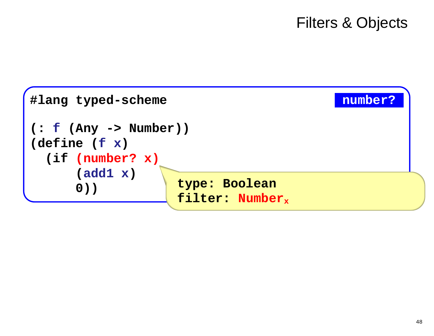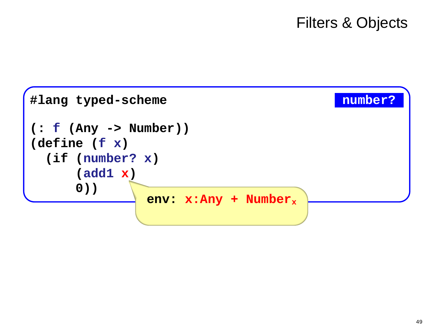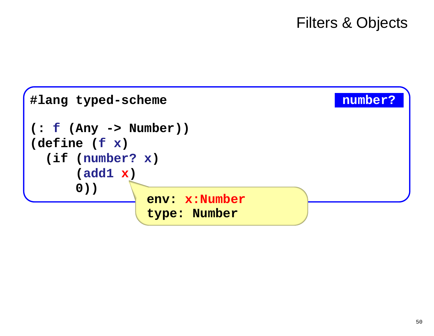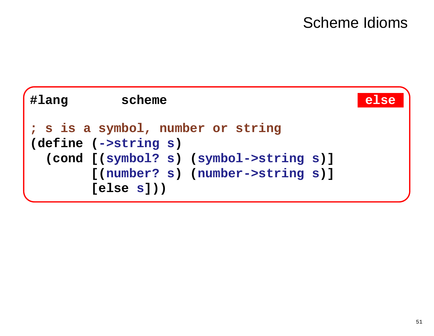# Scheme Idioms

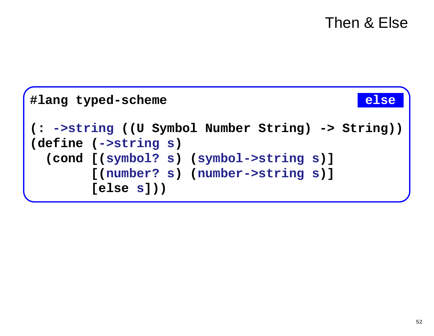```
#lang typed-scheme
                                             else
(: ->string ((U Symbol Number String) -> String))
(define (->string s)
  (cond [(symbol? s) (symbol->string s)]
        [(number? s) (number->string s)]
        [else s])
```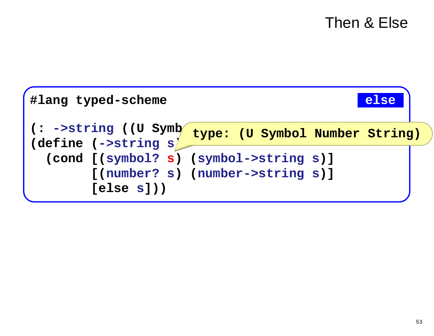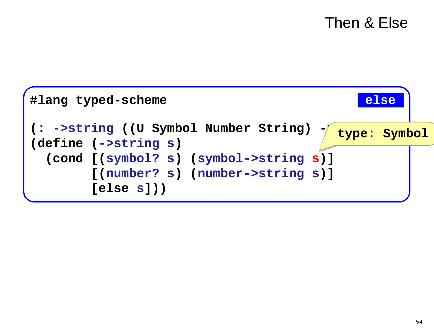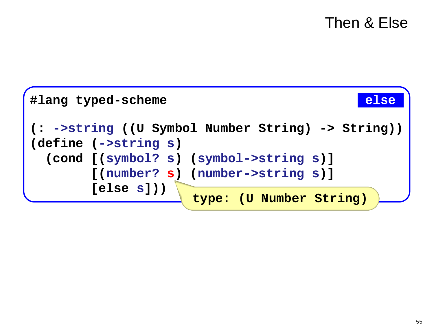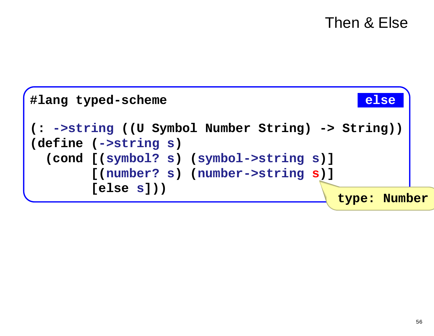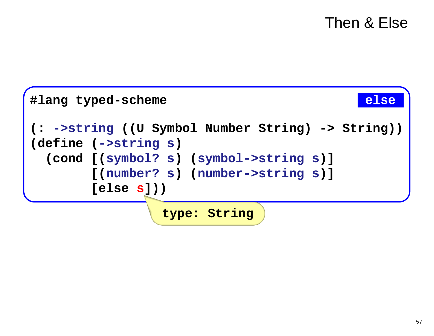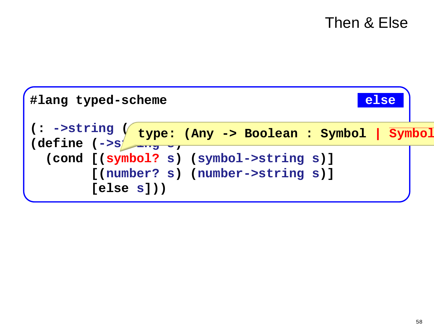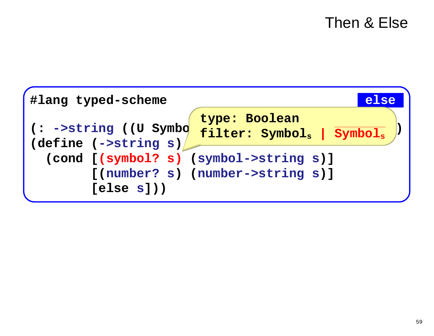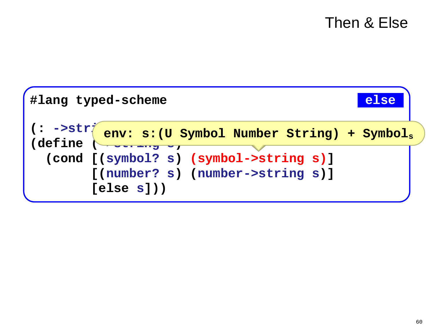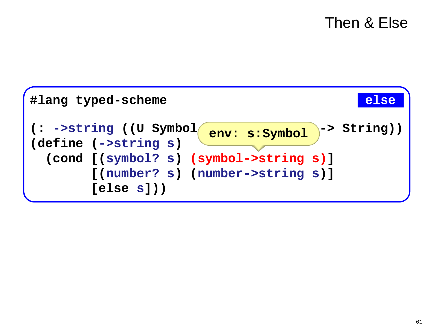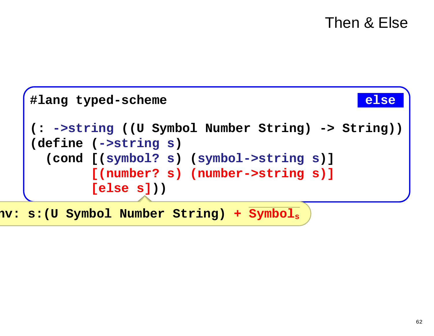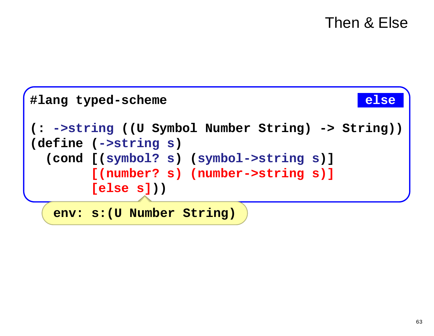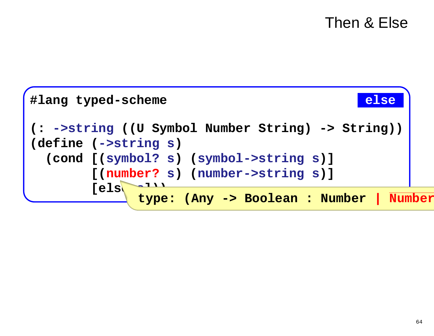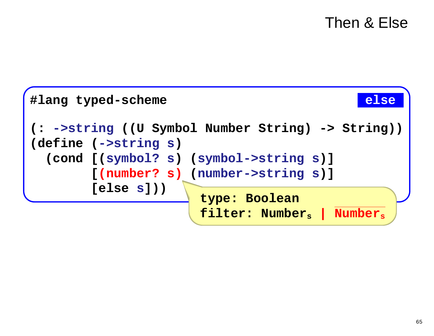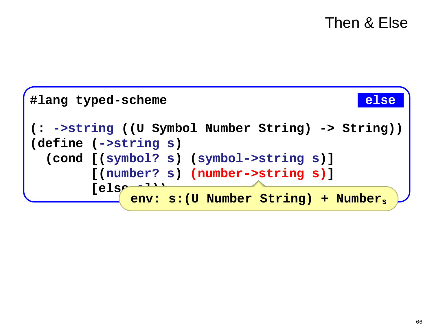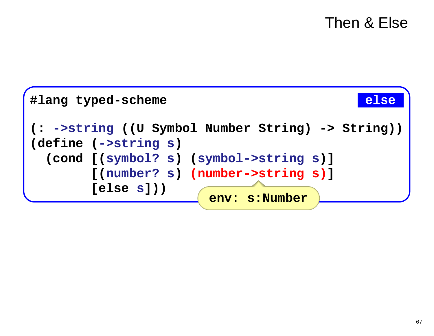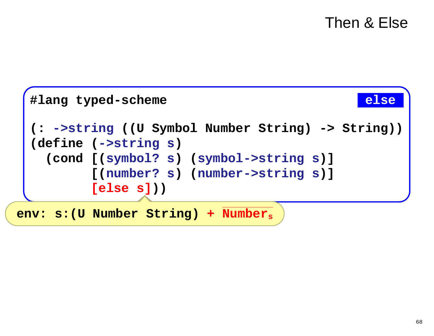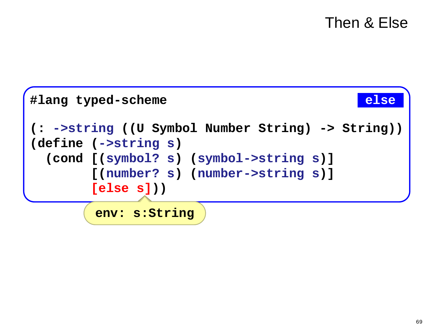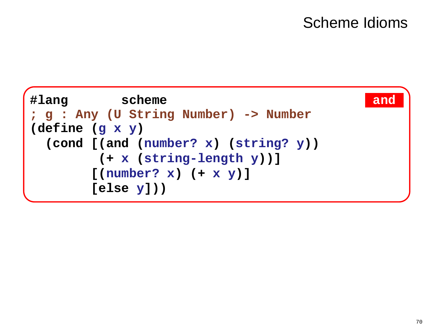# **Scheme Idioms**

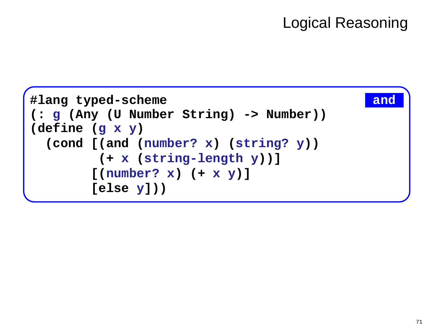# Logical Reasoning

```
#lang typed-scheme and (: g (Any (U Number String) -> Number))(define (g x y)
 (cond [(and (number? x) (string? y))
        (+ x (string-length y))]
       [(number? x) (+ x y)]
       [else y]))
```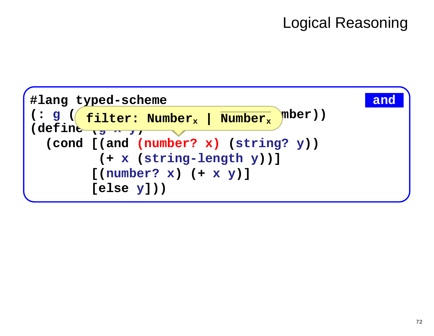# Logical Reasoning

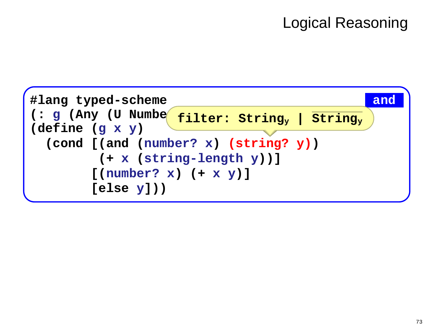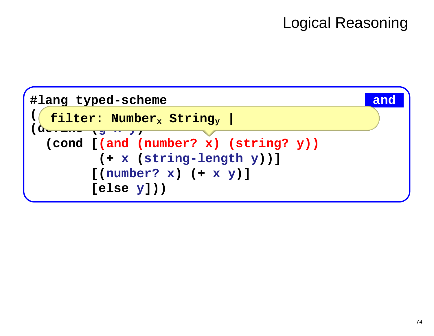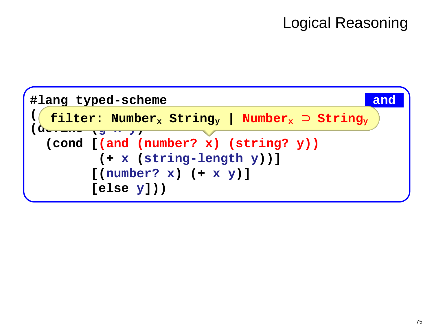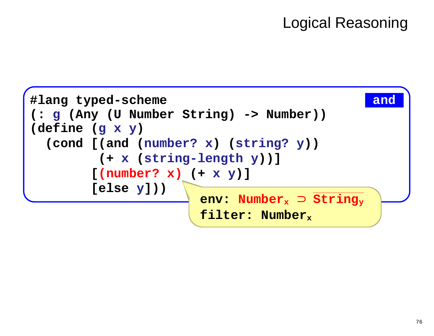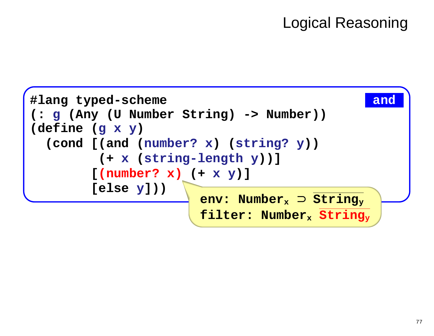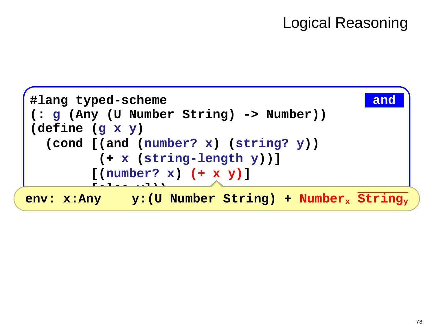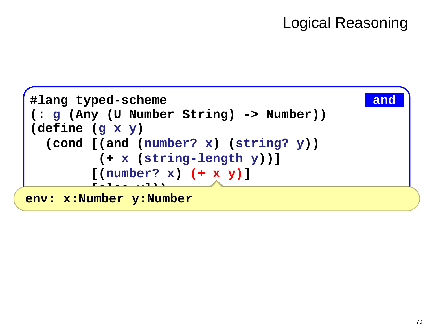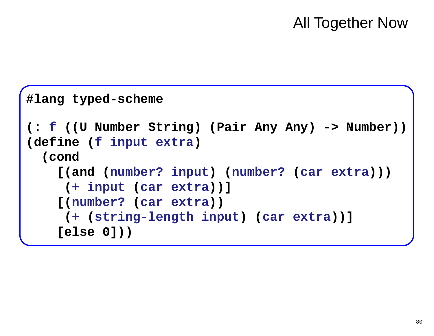### All Together Now

```
#lang typed-scheme (: f ((U Number String) (Pair Any Any) -> Number))(define (f input extra)
  (cond
[(and (number? input) (number? (car extra)))
    (+ input (car extra))]
  [(number? (car extra))
    (+ (string-length input) (car extra))]
    [else 0]))
```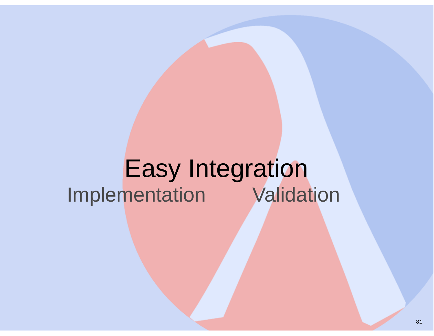## Easy IntegrationImplementation Validation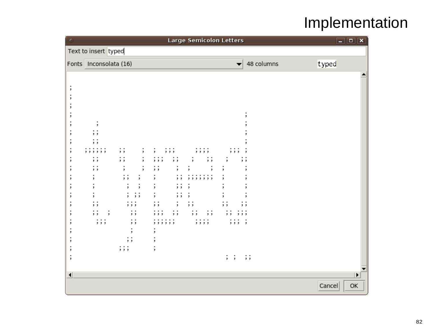## Implementation

| $\circ$                                                                      |  |             |                                                              |                  |   |           |                  |                      |                           |                      |                                    |                                                                                 |        |                |           |                                |                 |     |              |                                        | <b>Large Semicolon Letters</b> |                                           |     |              |                          |               |            |        | $\Box$ $\Box$ $\mathsf{X}$ |
|------------------------------------------------------------------------------|--|-------------|--------------------------------------------------------------|------------------|---|-----------|------------------|----------------------|---------------------------|----------------------|------------------------------------|---------------------------------------------------------------------------------|--------|----------------|-----------|--------------------------------|-----------------|-----|--------------|----------------------------------------|--------------------------------|-------------------------------------------|-----|--------------|--------------------------|---------------|------------|--------|----------------------------|
| Text to insert typed                                                         |  |             |                                                              |                  |   |           |                  |                      |                           |                      |                                    |                                                                                 |        |                |           |                                |                 |     |              |                                        |                                |                                           |     |              |                          |               |            |        |                            |
| Fonts Inconsolata (16)                                                       |  |             |                                                              |                  |   |           |                  |                      |                           |                      |                                    |                                                                                 |        |                |           |                                |                 |     |              |                                        |                                |                                           |     |              | $\overline{\phantom{a}}$ |               | 48 columns | typed  |                            |
| ,<br>,<br>,<br>,<br>,<br>,<br>,<br>٠<br>,<br>,<br>,<br>,<br>,<br>,<br>,<br>, |  | ,<br>,<br>٠ | ,<br>, ,<br>,<br>. .<br>, ,<br>. .<br>, ,<br>٠<br>, ,<br>, , | ,,<br>.<br>, , , | , | , ,<br>;; | ,<br>;;<br>; ; ; | ;<br>,<br>, ,<br>, , | ,<br>٠<br>, ,<br>۰<br>, , | ,<br>;<br>. .<br>, , | ,<br>,<br>$\overline{\phantom{a}}$ | ,<br>۰<br>, , ,<br>, ,<br>,<br>٠<br>,<br>٠<br>,<br>٠<br>, ,<br>,<br>,<br>,<br>; | ,<br>, | , , ,<br>, , , | ;;<br>, , | ,<br>,<br>, ,<br>٠<br>, ,<br>, | ,<br>. .<br>, , | , , | ,<br>, , , , | ,<br>;;<br>, , , , , , ,<br>. .<br>, , |                                | $\overline{\phantom{a}}$<br>,<br>,<br>, , | ; ; | , , ,<br>, , | ,                        | ٠<br>, ,<br>, | ;;         |        |                            |
| $\blacktriangleleft$                                                         |  |             |                                                              |                  |   |           |                  |                      |                           |                      |                                    |                                                                                 |        |                |           |                                |                 |     |              |                                        |                                |                                           |     |              |                          |               |            | Cancel | ▶<br>OK                    |
|                                                                              |  |             |                                                              |                  |   |           |                  |                      |                           |                      |                                    |                                                                                 |        |                |           |                                |                 |     |              |                                        |                                |                                           |     |              |                          |               |            |        |                            |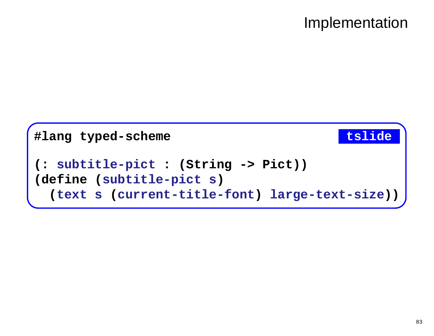### Implementation

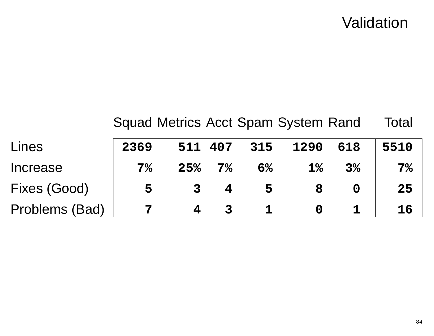### Validation

| Lines          | 2369           | 511 407      |                | 315 | 1290  | 618            | 5510           |
|----------------|----------------|--------------|----------------|-----|-------|----------------|----------------|
| Increase       | 7 <sup>°</sup> | 25%          | 7 <sup>°</sup> | 6%  | $1\%$ | 3 <sup>°</sup> | 7 <sup>°</sup> |
| Fixes (Good)   | 5              | $\mathbf{3}$ |                | 5   | 8     |                | 25             |
| Problems (Bad) |                |              |                |     |       |                | 16             |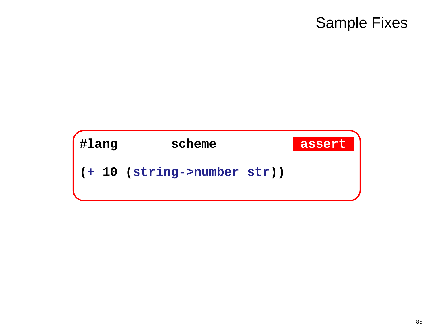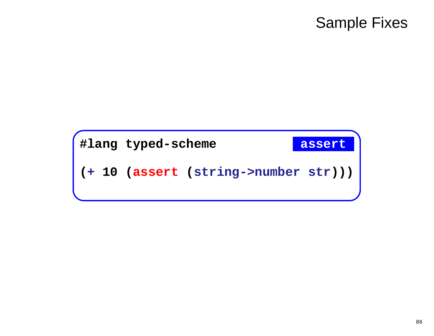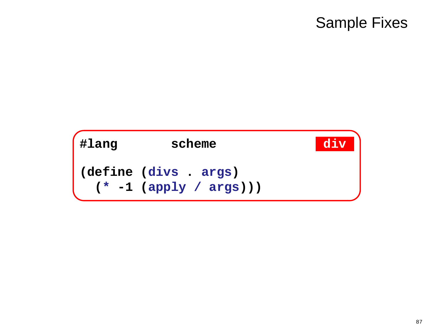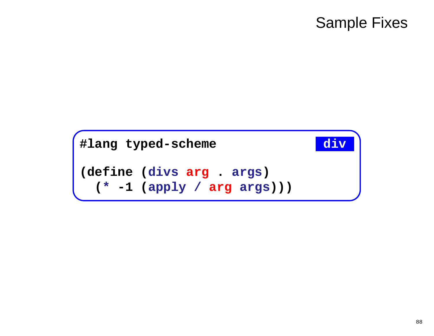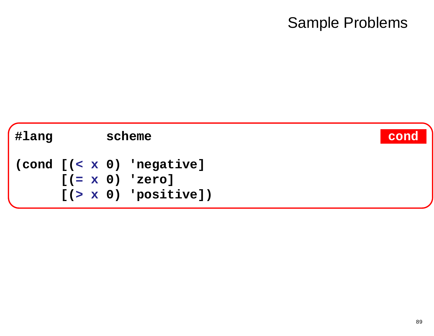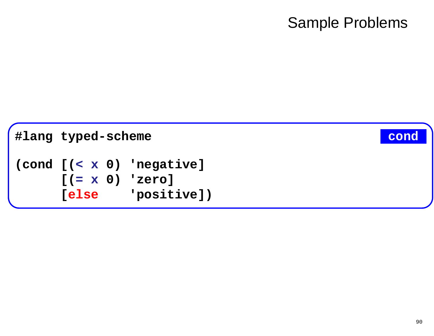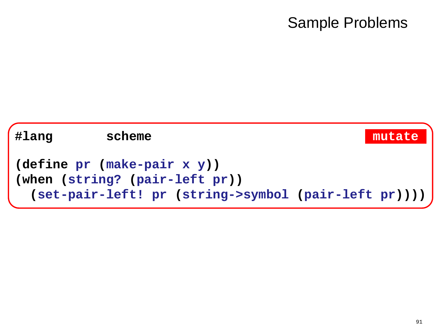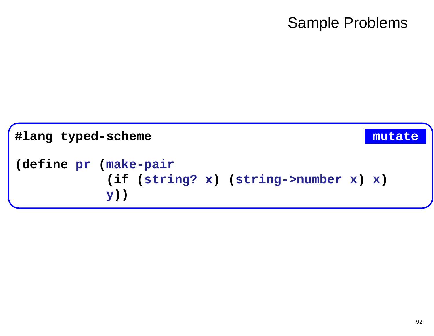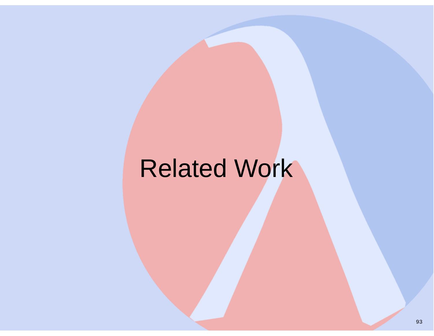## Related Work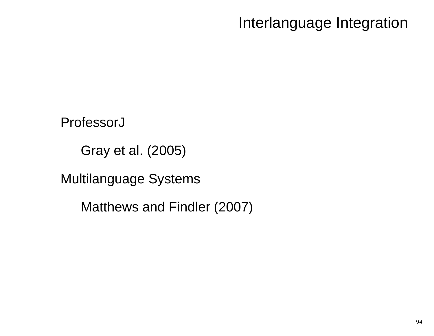Interlanguage Integration

ProfessorJ

Gray et al. (2005)

Multilanguage Systems

Matthews and Findler (2007)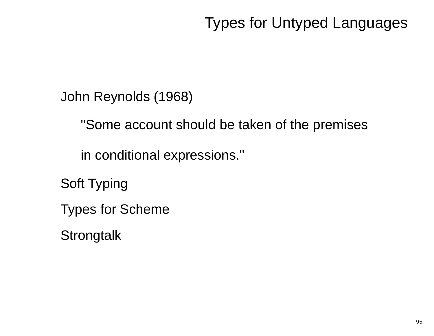John Reynolds (1968)

"Some account should be taken of the premises

in conditional expressions."

Soft Typing

Types for Scheme

**Strongtalk**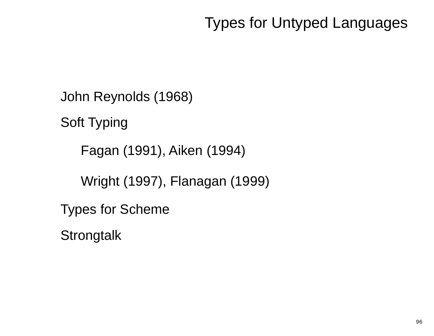John Reynolds (1968)

Soft Typing

Fagan (1991), Aiken (1994)

Wright (1997), Flanagan (1999)

Types for Scheme

**Strongtalk**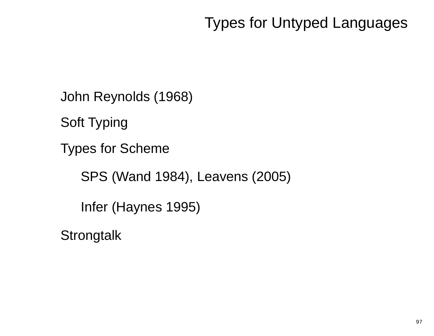John Reynolds (1968)

Soft Typing

Types for Scheme

SPS (Wand 1984), Leavens (2005)

Infer (Haynes 1995)

**Strongtalk**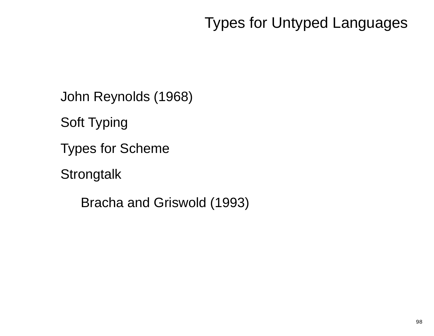John Reynolds (1968)

Soft Typing

Types for Scheme

**Strongtalk** 

Bracha and Griswold (1993)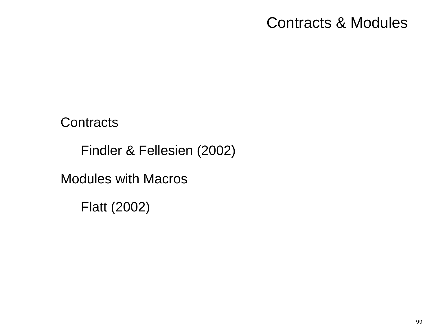### Contracts & Modules

**Contracts** 

Findler & Fellesien (2002)

Modules with Macros

Flatt (2002)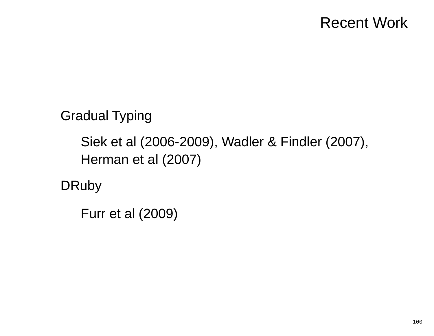### Recent Work

Gradual Typing

Siek et al (2006-2009), Wadler & Findler (2007),Herman et al (2007)

**DRuby** 

Furr et al (2009)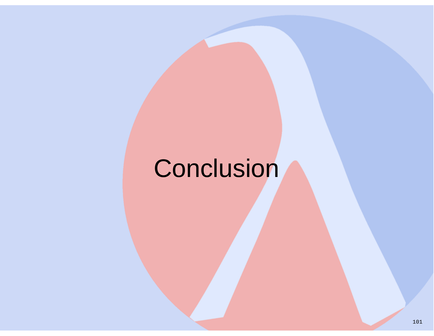# **Conclusion**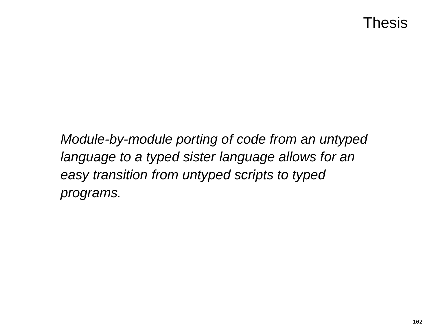Module-by-module porting of code from an untypedlanguage to a typed sister language allows for aneasy transition from untyped scripts to typedprograms.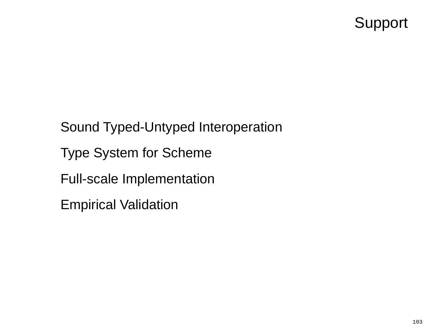### Support

Sound Typed-Untyped Interoperation

Type System for Scheme

Full-scale Implementation

Empirical Validation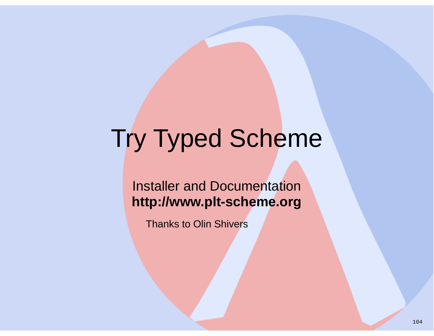#### Installer and Documentation**http://www.plt-scheme.org**

Thanks to Olin Shivers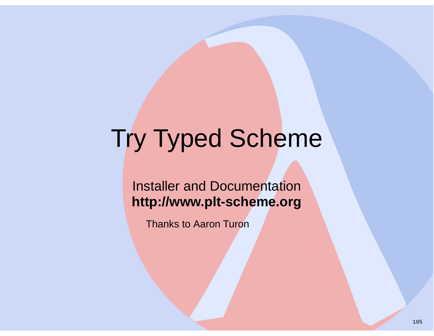#### Installer and Documentation**http://www.plt-scheme.org**

Thanks to Aaron Turon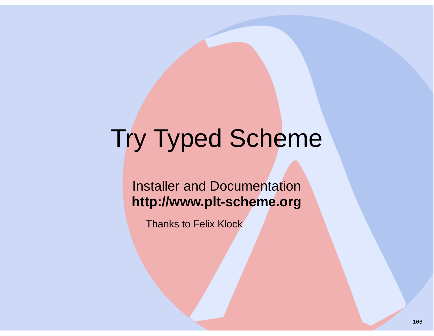#### Installer and Documentation**http://www.plt-scheme.org**

Thanks to Felix Klock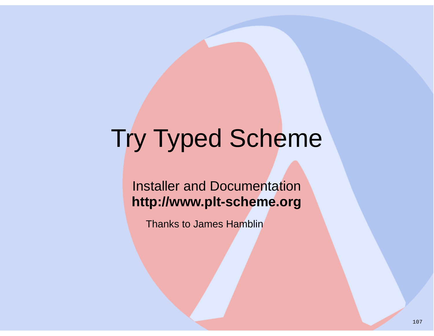#### Installer and Documentation**http://www.plt-scheme.org**

Thanks to James Hamblin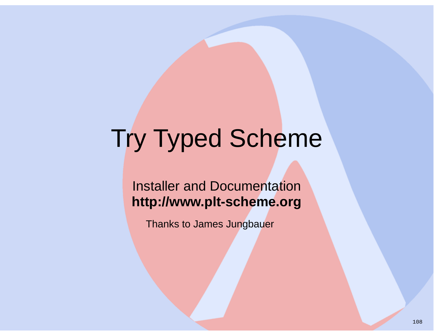#### Installer and Documentation**http://www.plt-scheme.org**

Thanks to James Jungbauer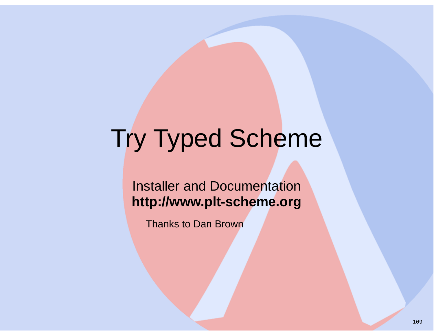### Installer and Documentation**http://www.plt-scheme.org**

Thanks to Dan Brown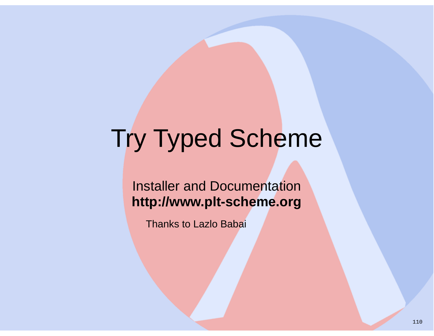#### Installer and Documentation**http://www.plt-scheme.org**

Thanks to Lazlo Babai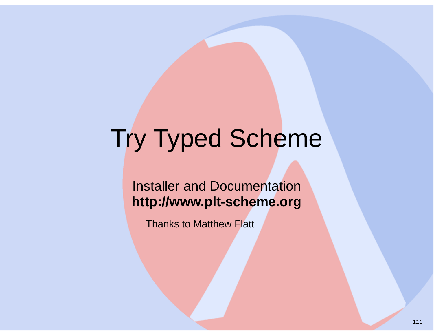#### Installer and Documentation**http://www.plt-scheme.org**

Thanks to Matthew Flatt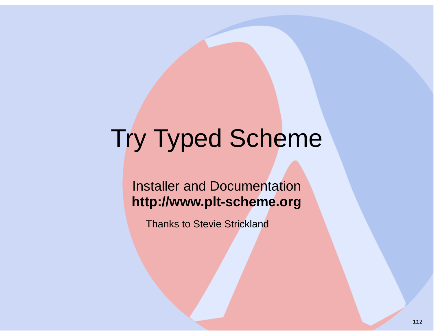### Installer and Documentation**http://www.plt-scheme.org**

Thanks to Stevie Strickland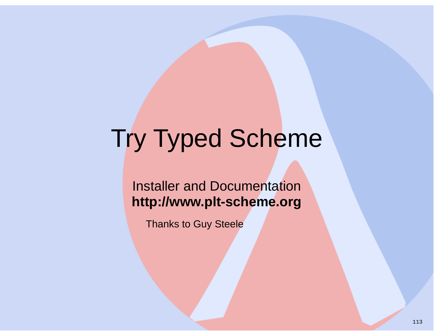### Installer and Documentation**http://www.plt-scheme.org**

Thanks to Guy Steele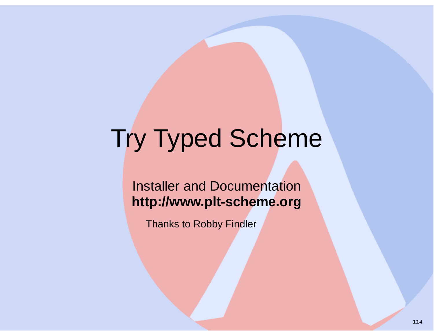Installer and Documentation**http://www.plt-scheme.org**

Thanks to Robby Findler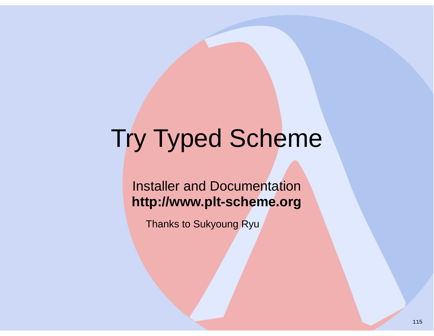Installer and Documentation**http://www.plt-scheme.org**

Thanks to Sukyoung Ryu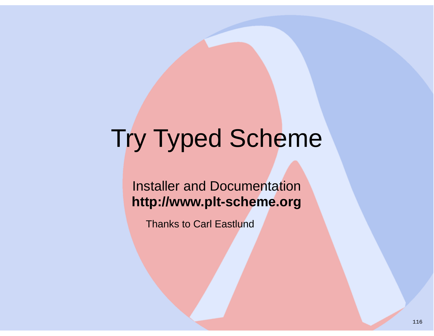#### Installer and Documentation**http://www.plt-scheme.org**

Thanks to Carl Eastlund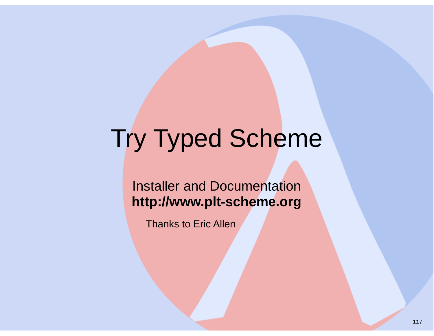### Installer and Documentation**http://www.plt-scheme.org**

Thanks to Eric Allen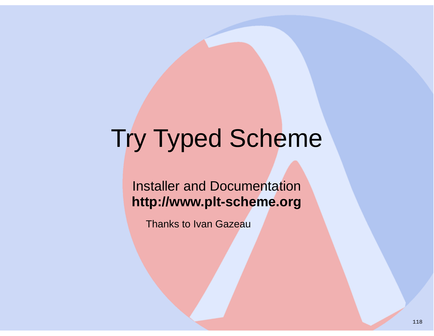#### Installer and Documentation**http://www.plt-scheme.org**

Thanks to Ivan Gazeau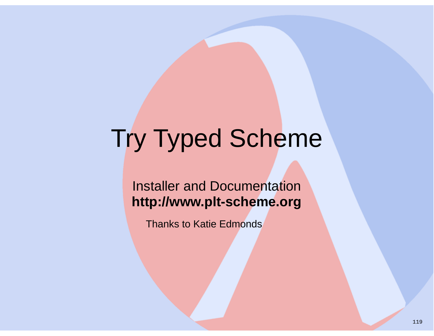### Installer and Documentation**http://www.plt-scheme.org**

Thanks to Katie Edmonds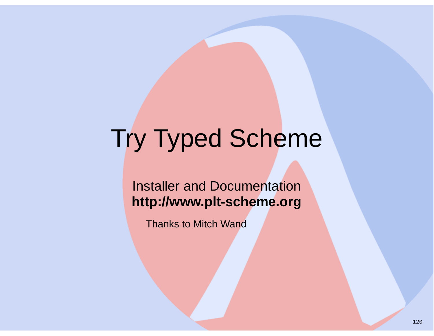### Installer and Documentation**http://www.plt-scheme.org**

Thanks to Mitch Wand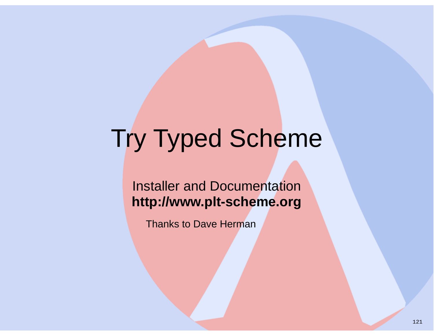#### Installer and Documentation**http://www.plt-scheme.org**

Thanks to Dave Herman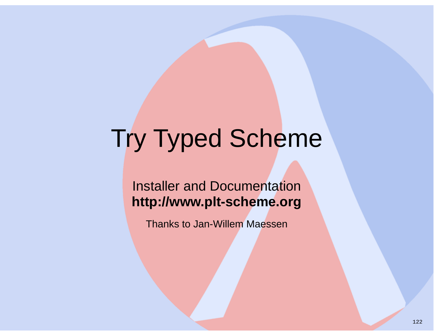#### Installer and Documentation**http://www.plt-scheme.org**

Thanks to Jan-Willem Maessen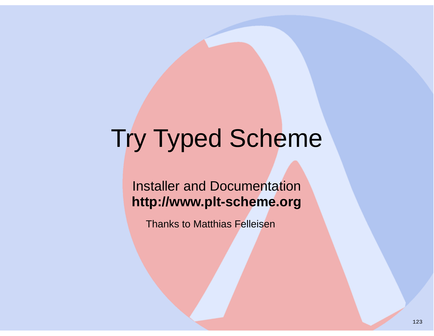#### Installer and Documentation**http://www.plt-scheme.org**

Thanks to Matthias Felleisen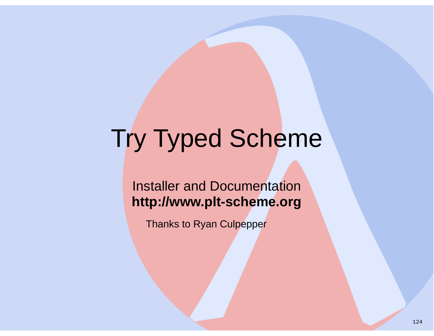### Installer and Documentation**http://www.plt-scheme.org**

Thanks to Ryan Culpepper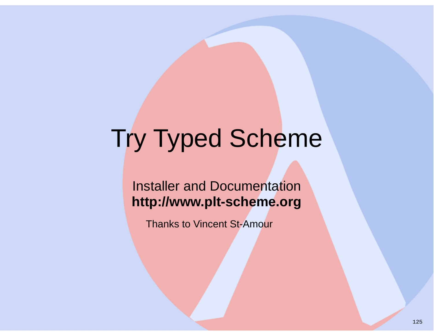### Installer and Documentation**http://www.plt-scheme.org**

Thanks to Vincent St-Amour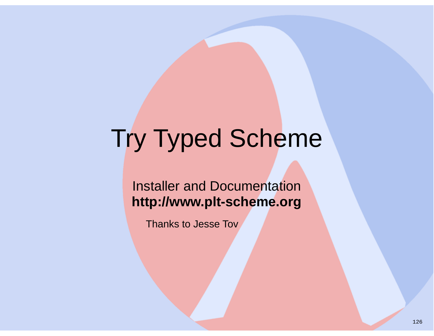### Installer and Documentation**http://www.plt-scheme.org**

Thanks to Jesse Tov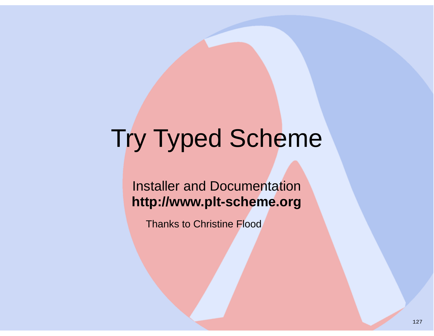#### Installer and Documentation**http://www.plt-scheme.org**

Thanks to Christine Flood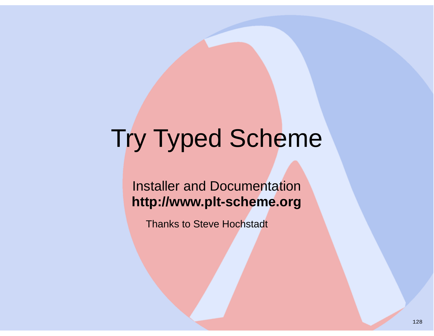#### Installer and Documentation**http://www.plt-scheme.org**

Thanks to Steve Hochstadt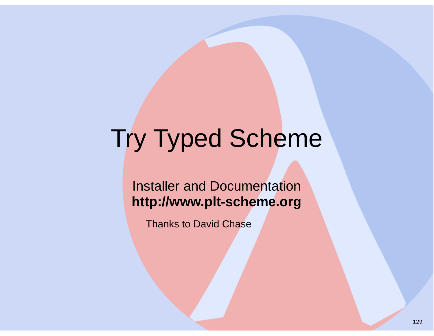#### Installer and Documentation**http://www.plt-scheme.org**

Thanks to David Chase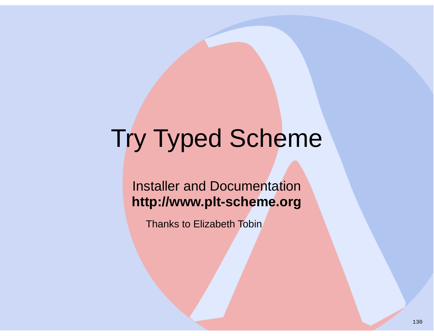### Installer and Documentation**http://www.plt-scheme.org**

Thanks to Elizabeth Tobin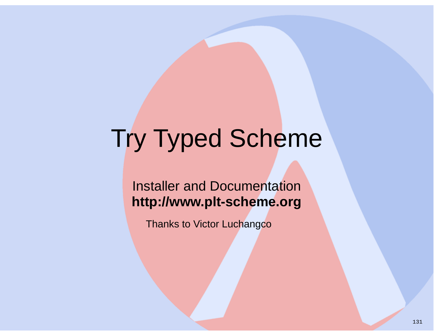### Installer and Documentation**http://www.plt-scheme.org**

Thanks to Victor Luchangco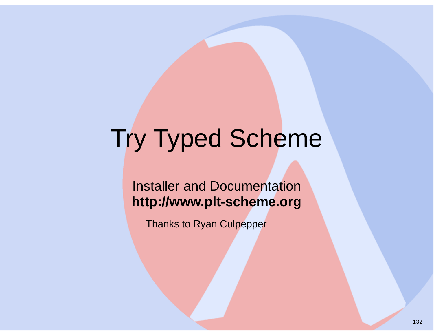### Installer and Documentation**http://www.plt-scheme.org**

Thanks to Ryan Culpepper